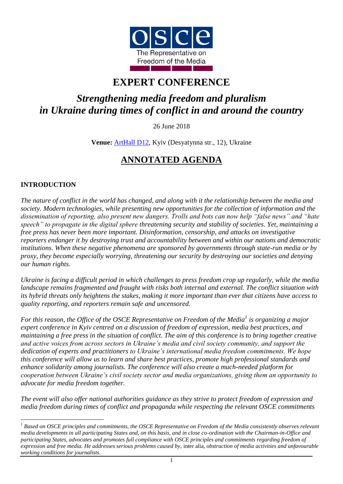

# **EXPERT CONFERENCE**

# *Strengthening media freedom and pluralism in Ukraine during times of conflict in and around the country*

26 June 2018

**Venue:** [ArtHall D12,](http://d12.com.ua/en/) Kyiv (Desyatynna str., 12), Ukraine

# **ANNOTATED AGENDA**

## **INTRODUCTION**

<u>.</u>

*The nature of conflict in the world has changed, and along with it the relationship between the media and society. Modern technologies, while presenting new opportunities for the collection of information and the dissemination of reporting, also present new dangers. Trolls and bots can now help "false news" and "hate speech" to propagate in the digital sphere threatening security and stability of societies. Yet, maintaining a free press has never been more important. Disinformation, censorship, and attacks on investigative reporters endanger it by destroying trust and accountability between and within our nations and democratic institutions. When these negative phenomena are sponsored by governments through state-run media or by proxy, they become especially worrying, threatening our security by destroying our societies and denying our human rights.* 

*Ukraine is facing a difficult period in which challenges to press freedom crop up regularly, while the media landscape remains fragmented and fraught with risks both internal and external. The conflict situation with its hybrid threats only heightens the stakes, making it more important than ever that citizens have access to quality reporting, and reporters remain safe and uncensored.* 

*For this reason, the Office of the OSCE Representative on Freedom of the Media<sup>1</sup> is organizing a major expert conference in Kyiv centred on a discussion of freedom of expression, media best practices, and maintaining a free press in the situation of conflict. The aim of this conference is to bring together creative and active voices from across sectors in Ukraine's media and civil society community, and support the dedication of experts and practitioners to Ukraine's international media freedom commitments. We hope this conference will allow us to learn and share best practices, promote high professional standards and enhance solidarity among journalists. The conference will also create a much-needed platform for cooperation between Ukraine's civil society sector and media organizations, giving them an opportunity to advocate for media freedom together.*

*The event will also offer national authorities guidance as they strive to protect freedom of expression and media freedom during times of conflict and propaganda while respecting the relevant OSCE commitments* 

<sup>&</sup>lt;sup>1</sup> Based on OSCE principles and commitments, the OSCE Representative on Freedom of the Media consistently observes relevant *media developments in all participating States and, on this basis, and in close co-ordination with the Chairman-in-Office and participating States, advocates and promotes full compliance with OSCE principles and commitments regarding freedom of expression and free media. He addresses serious problems caused by,* inter alia*, obstruction of media activities and unfavourable working conditions for journalists.*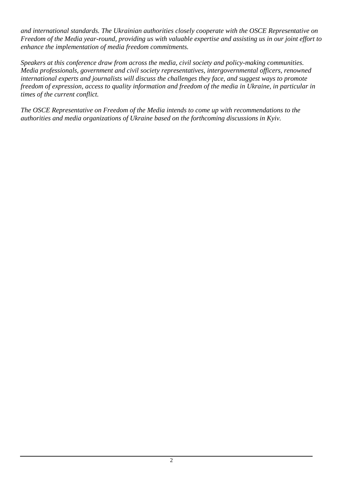*and international standards. The Ukrainian authorities closely cooperate with the OSCE Representative on Freedom of the Media year-round, providing us with valuable expertise and assisting us in our joint effort to enhance the implementation of media freedom commitments.* 

*Speakers at this conference draw from across the media, civil society and policy-making communities. Media professionals, government and civil society representatives, intergovernmental officers, renowned international experts and journalists will discuss the challenges they face, and suggest ways to promote freedom of expression, access to quality information and freedom of the media in Ukraine, in particular in times of the current conflict.*

*The OSCE Representative on Freedom of the Media intends to come up with recommendations to the authorities and media organizations of Ukraine based on the forthcoming discussions in Kyiv.*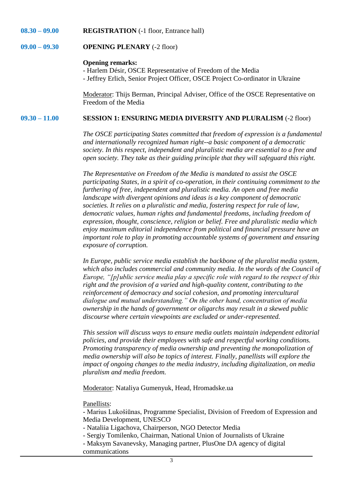#### **08.30 – 09.00 REGISTRATION** (-1 floor, Entrance hall)

#### **09.00 – 09.30 OPENING PLENARY** (-2 floor)

#### **Opening remarks:**

- Harlem Désir, OSCE Representative of Freedom of the Media - Jeffrey Erlich, Senior Project Officer, OSCE Project Co-ordinator in Ukraine

Moderator: Thijs Berman, Principal Adviser, Office of the OSCE Representative on Freedom of the Media

#### **09.30 – 11.00 SESSION 1: ENSURING MEDIA DIVERSITY AND PLURALISM** (-2 floor)

*The OSCE participating States committed that freedom of expression is a fundamental and internationally recognized human right--a basic component of a democratic society. In this respect, independent and pluralistic media are essential to a free and open society. They take as their guiding principle that they will safeguard this right.*

*The Representative on Freedom of the Media is mandated to assist the OSCE participating States, in a spirit of co-operation, in their continuing commitment to the furthering of free, independent and pluralistic media. An open and free media landscape with divergent opinions and ideas is a key component of democratic societies. It relies on a pluralistic and media, fostering respect for rule of law, democratic values, human rights and fundamental freedoms, including freedom of expression, thought, conscience, religion or belief. Free and pluralistic media which enjoy maximum editorial independence from political and financial pressure have an important role to play in promoting accountable systems of government and ensuring exposure of corruption.* 

*In Europe, public service media establish the backbone of the pluralist media system,* which also includes commercial and community media. In the words of the Council of *Europe, "[p]ublic service media play a specific role with regard to the respect of this right and the provision of a varied and high-quality content, contributing to the reinforcement of democracy and social cohesion, and promoting intercultural dialogue and mutual understanding." On the other hand, concentration of media ownership in the hands of government or oligarchs may result in a skewed public discourse where certain viewpoints are excluded or under-represented.*

*This session will discuss ways to ensure media outlets maintain independent editorial policies, and provide their employees with safe and respectful working conditions. Promoting transparency of media ownership and preventing the monopolization of media ownership will also be topics of interest. Finally, panellists will explore the impact of ongoing changes to the media industry, including digitalization, on media pluralism and media freedom.*

Moderator: Nataliya Gumenyuk, Head, Hromadske.ua

#### Panellists:

- Marius Lukošiūnas, Programme Specialist, Division of Freedom of Expression and Media Development, UNESCO

- Nataliia Ligachova, Chairperson, NGO Detector Media
- Sergiy Tomilenko, Chairman, National Union of Journalists of Ukraine
- Maksym Savanevsky, Managing partner, PlusOne DA agency of digital communications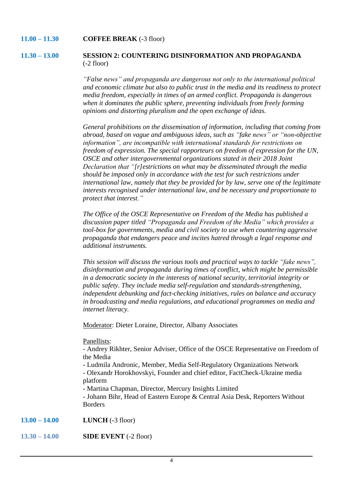#### **11.00 – 11.30 COFFEE BREAK** (-3 floor)

#### **11.30 – 13.00 SESSION 2: COUNTERING DISINFORMATION AND PROPAGANDA** (-2 floor)

*"False news" and propaganda are dangerous not only to the international political and economic climate but also to public trust in the media and its readiness to protect media freedom, especially in times of an armed conflict. Propaganda is dangerous when it dominates the public sphere, preventing individuals from freely forming opinions and distorting pluralism and the open exchange of ideas.* 

*General prohibitions on the dissemination of information, including that coming from abroad, based on vague and ambiguous ideas, such as "fake news" or "non-objective information", are incompatible with international standards for restrictions on freedom of expression. The special rapporteurs on freedom of expression for the UN, OSCE and other intergovernmental organizations stated in their 2018 Joint Declaration that "[r]estrictions on what may be disseminated through the media should be imposed only in accordance with the test for such restrictions under international law, namely that they be provided for by law, serve one of the legitimate interests recognised under international law, and be necessary and proportionate to protect that interest."*

*The Office of the OSCE Representative on Freedom of the Media has published a discussion paper titled "Propaganda and Freedom of the Media" which provides a tool-box for governments, media and civil society to use when countering aggressive propaganda that endangers peace and incites hatred through a legal response and additional instruments.*

*This session will discuss the various tools and practical ways to tackle "fake news", disinformation and propaganda during times of conflict, which might be permissible in a democratic society in the interests of national security, territorial integrity or public safety. They include media self-regulation and standards-strengthening, independent debunking and fact-checking initiatives, rules on balance and accuracy in broadcasting and media regulations, and educational programmes on media and internet literacy.*

Moderator: Dieter Loraine, Director, Albany Associates

Panellists:

- Andrey Rikhter, Senior Adviser, Office of the OSCE Representative on Freedom of the Media

- Ludmila Andronic, Member, Media Self-Regulatory Organizations Network - Olexandr Horokhovskyi, Founder and chief editor, FactCheck-Ukraine media platform

- Martina Chapman, Director, Mercury Insights Limited

- Johann Bihr, Head of Eastern Europe & Central Asia Desk, Reporters Without Borders

**13.00 – 14.00 LUNCH** (-3 floor)

**13.30 – 14.00 SIDE EVENT** (-2 floor)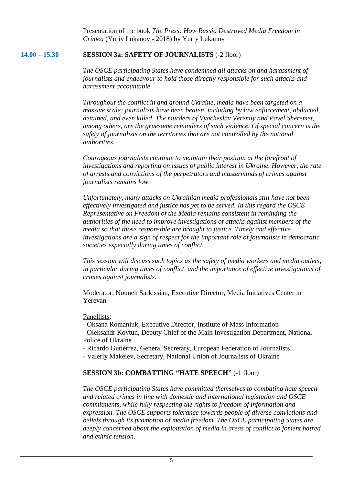Presentation of the book *The Press: How Russia Destroyed Media Freedom in Crimea* (Yuriy Lukanov - 2018) by Yuriy Lukanov

#### **14.00 – 15.30 SESSION 3a: SAFETY OF JOURNALISTS** (-2 floor)

*The OSCE participating States have condemned all attacks on and harassment of journalists and endeavour to hold those directly responsible for such attacks and harassment accountable.*

*Throughout the conflict in and around Ukraine, media have been targeted on a massive scale: journalists have been beaten, including by law enforcement, abducted, detained, and even killed. The murders of Vyacheslav Veremiy and Pavel Sheremet, among others, are the gruesome reminders of such violence. Of special concern is the safety of journalists on the territories that are not controlled by the national authorities.*

*Courageous journalists continue to maintain their position at the forefront of investigations and reporting on issues of public interest in Ukraine. However, the rate of arrests and convictions of the perpetrators and masterminds of crimes against journalists remains low.*

*Unfortunately, many attacks on Ukrainian media professionals still have not been effectively investigated and justice has yet to be served. In this regard the OSCE Representative on Freedom of the Media remains consistent in reminding the authorities of the need to improve investigations of attacks against members of the media so that those responsible are brought to justice. Timely and effective investigations are a sign of respect for the important role of journalists in democratic societies especially during times of conflict.* 

*This session will discuss such topics as the safety of media workers and media outlets, in particular during times of conflict, and the importance of effective investigations of crimes against journalists.*

Moderator: Nouneh Sarkissian, Executive Director, Media Initiatives Center in Yerevan

### Panellists:

- Oksana Romaniuk, Executive Director, Institute of Mass Information

- Oleksandr Kovtun, Deputy Chief of the Main Investigation Department, National Police of Ukraine

- Ricardo Gutiérrez, General Secretary, European Federation of Journalists

- Valeriy Makeiev, Secretary, National Union of Journalists of Ukraine

### **SESSION 3b: COMBATTING "HATE SPEECH"** (-1 floor)

*The OSCE participating States have committed themselves to combating hate speech and related crimes in line with domestic and international legislation and OSCE commitments, while fully respecting the rights to freedom of information and expression. The OSCE supports tolerance towards people of diverse convictions and beliefs through its promotion of media freedom. The OSCE participating States are deeply concerned about the exploitation of media in areas of conflict to foment hatred and ethnic tension.*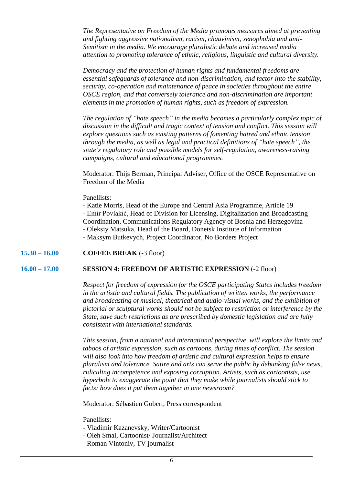*The Representative on Freedom of the Media promotes measures aimed at preventing and fighting aggressive nationalism, racism, chauvinism, xenophobia and anti-Semitism in the media. We encourage pluralistic debate and increased media attention to promoting tolerance of ethnic, religious, linguistic and cultural diversity.* 

*Democracy and the protection of human rights and fundamental freedoms are essential safeguards of tolerance and non-discrimination, and factor into the stability, security, co-operation and maintenance of peace in societies throughout the entire OSCE region, and that conversely tolerance and non-discrimination are important elements in the promotion of human rights, such as freedom of expression.*

*The regulation of "hate speech" in the media becomes a particularly complex topic of discussion in the difficult and tragic context of tension and conflict. This session will explore questions such as existing patterns of fomenting hatred and ethnic tension through the media, as well as legal and practical definitions of "hate speech", the state's regulatory role and possible models for self-regulation, awareness-raising campaigns, cultural and educational programmes.*

Moderator: Thijs Berman, Principal Adviser, Office of the OSCE Representative on Freedom of the Media

#### Panellists:

- Katie Morris, Head of the Europe and Central Asia Programme, Article 19 - Emir Povlakić, Head of Division for Licensing, Digitalization and Broadcasting Coordination, Communications Regulatory Agency of Bosnia and Herzegovina - Oleksiy Matsuka, Head of the Board, Donetsk Institute of Information - Maksym Butkevych, Project Coordinator, No Borders Project

#### **15.30 – 16.00 COFFEE BREAK** (-3 floor)

#### **16.00 – 17.00 SESSION 4: FREEDOM OF ARTISTIC EXPRESSION** (-2 floor)

*Respect for freedom of expression for the OSCE participating States includes freedom in the artistic and cultural fields. The publication of written works, the performance and broadcasting of musical, theatrical and audio-visual works, and the exhibition of pictorial or sculptural works should not be subject to restriction or interference by the State, save such restrictions as are prescribed by domestic legislation and are fully consistent with international standards.*

*This session, from a national and international perspective, will explore the limits and taboos of artistic expression, such as cartoons, during times of conflict. The session will also look into how freedom of artistic and cultural expression helps to ensure pluralism and tolerance. Satire and arts can serve the public by debunking false news, ridiculing incompetence and exposing corruption. Artists, such as cartoonists, use hyperbole to exaggerate the point that they make while journalists should stick to facts: how does it put them together in one newsroom?*

Moderator: Sébastien Gobert, Press correspondent

#### Panellists:

- Vladimir Kazanevsky, Writer/Cartoonist
- Oleh Smal, Cartoonist/ Journalist/Architect
- Roman Vintoniv, TV journalist